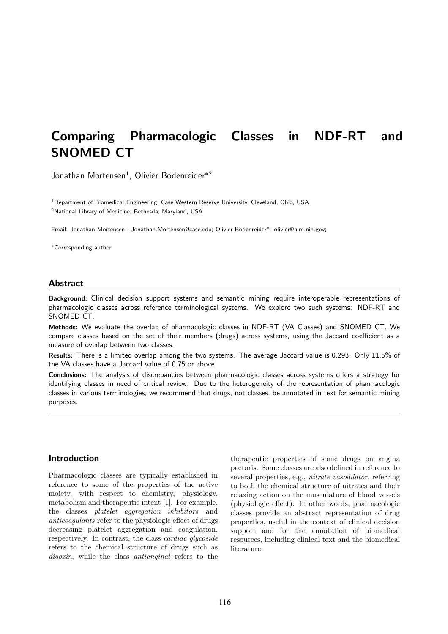# Comparing Pharmacologic Classes in NDF-RT and SNOMED CT

Jonathan Mortensen<sup>1</sup>, Olivier Bodenreider<sup>\*2</sup>

<sup>1</sup> Department of Biomedical Engineering, Case Western Reserve University, Cleveland, Ohio, USA <sup>2</sup>National Library of Medicine, Bethesda, Maryland, USA

Email: Jonathan Mortensen - Jonathan.Mortensen@case.edu; Olivier Bodenreider∗- olivier@nlm.nih.gov;

<sup>∗</sup>Corresponding author

# **Abstract**

Background: Clinical decision support systems and semantic mining require interoperable representations of pharmacologic classes across reference terminological systems. We explore two such systems: NDF-RT and SNOMED CT.

Methods: We evaluate the overlap of pharmacologic classes in NDF-RT (VA Classes) and SNOMED CT. We compare classes based on the set of their members (drugs) across systems, using the Jaccard coefficient as a measure of overlap between two classes.

Results: There is a limited overlap among the two systems. The average Jaccard value is 0.293. Only 11.5% of the VA classes have a Jaccard value of 0.75 or above.

Conclusions: The analysis of discrepancies between pharmacologic classes across systems offers a strategy for identifying classes in need of critical review. Due to the heterogeneity of the representation of pharmacologic classes in various terminologies, we recommend that drugs, not classes, be annotated in text for semantic mining purposes.

# Introduction

Pharmacologic classes are typically established in reference to some of the properties of the active moiety, with respect to chemistry, physiology, metabolism and therapeutic intent [1]. For example, the classes platelet aggregation inhibitors and anticoagulants refer to the physiologic effect of drugs decreasing platelet aggregation and coagulation, respectively. In contrast, the class cardiac glycoside refers to the chemical structure of drugs such as digoxin, while the class *antianginal* refers to the

therapeutic properties of some drugs on angina pectoris. Some classes are also defined in reference to several properties, e.g., nitrate vasodilator, referring to both the chemical structure of nitrates and their relaxing action on the musculature of blood vessels (physiologic effect). In other words, pharmacologic classes provide an abstract representation of drug properties, useful in the context of clinical decision support and for the annotation of biomedical resources, including clinical text and the biomedical literature.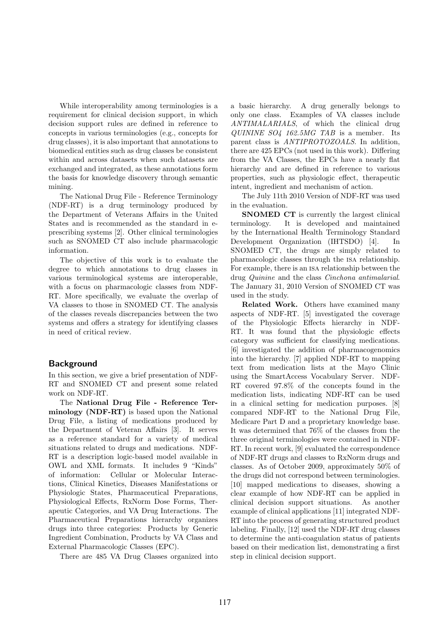While interoperability among terminologies is a requirement for clinical decision support, in which decision support rules are defined in reference to concepts in various terminologies (e.g., concepts for drug classes), it is also important that annotations to biomedical entities such as drug classes be consistent within and across datasets when such datasets are exchanged and integrated, as these annotations form the basis for knowledge discovery through semantic mining.

The National Drug File - Reference Terminology (NDF-RT) is a drug terminology produced by the Department of Veterans Affairs in the United States and is recommended as the standard in eprescribing systems [2]. Other clinical terminologies such as SNOMED CT also include pharmacologic information.

The objective of this work is to evaluate the degree to which annotations to drug classes in various terminological systems are interoperable, with a focus on pharmacologic classes from NDF-RT. More specifically, we evaluate the overlap of VA classes to those in SNOMED CT. The analysis of the classes reveals discrepancies between the two systems and offers a strategy for identifying classes in need of critical review.

# Background

In this section, we give a brief presentation of NDF-RT and SNOMED CT and present some related work on NDF-RT.

The National Drug File - Reference Terminology (NDF-RT) is based upon the National Drug File, a listing of medications produced by the Department of Veteran Affairs [3]. It serves as a reference standard for a variety of medical situations related to drugs and medications. NDF-RT is a description logic-based model available in OWL and XML formats. It includes 9 "Kinds" of information: Cellular or Molecular Interactions, Clinical Kinetics, Diseases Manifestations or Physiologic States, Pharmaceutical Preparations, Physiological Effects, RxNorm Dose Forms, Therapeutic Categories, and VA Drug Interactions. The Pharmaceutical Preparations hierarchy organizes drugs into three categories: Products by Generic Ingredient Combination, Products by VA Class and External Pharmacologic Classes (EPC).

There are 485 VA Drug Classes organized into

a basic hierarchy. A drug generally belongs to only one class. Examples of VA classes include ANTIMALARIALS, of which the clinical drug QUININE SO4 162.5MG TAB is a member. Its parent class is ANTIPROTOZOALS. In addition, there are 425 EPCs (not used in this work). Differing from the VA Classes, the EPCs have a nearly flat hierarchy and are defined in reference to various properties, such as physiologic effect, therapeutic intent, ingredient and mechanism of action.

The July 11th 2010 Version of NDF-RT was used in the evaluation.

SNOMED CT is currently the largest clinical terminology. It is developed and maintained by the International Health Terminology Standard Development Organization (IHTSDO) [4]. In SNOMED CT, the drugs are simply related to pharmacologic classes through the isa relationship. For example, there is an isa relationship between the drug Quinine and the class Cinchona antimalarial. The January 31, 2010 Version of SNOMED CT was used in the study.

Related Work. Others have examined many aspects of NDF-RT. [5] investigated the coverage of the Physiologic Effects hierarchy in NDF-RT. It was found that the physiologic effects category was sufficient for classifying medications. [6] investigated the addition of pharmacogenomics into the hierarchy. [7] applied NDF-RT to mapping text from medication lists at the Mayo Clinic using the SmartAccess Vocabulary Server. NDF-RT covered 97.8% of the concepts found in the medication lists, indicating NDF-RT can be used in a clinical setting for medication purposes. [8] compared NDF-RT to the National Drug File, Medicare Part D and a proprietary knowledge base. It was determined that 76% of the classes from the three original terminologies were contained in NDF-RT. In recent work, [9] evaluated the correspondence of NDF-RT drugs and classes to RxNorm drugs and classes. As of October 2009, approximately 50% of the drugs did not correspond between terminologies. [10] mapped medications to diseases, showing a clear example of how NDF-RT can be applied in clinical decision support situations. As another example of clinical applications [11] integrated NDF-RT into the process of generating structured product labeling. Finally, [12] used the NDF-RT drug classes to determine the anti-coagulation status of patients based on their medication list, demonstrating a first step in clinical decision support.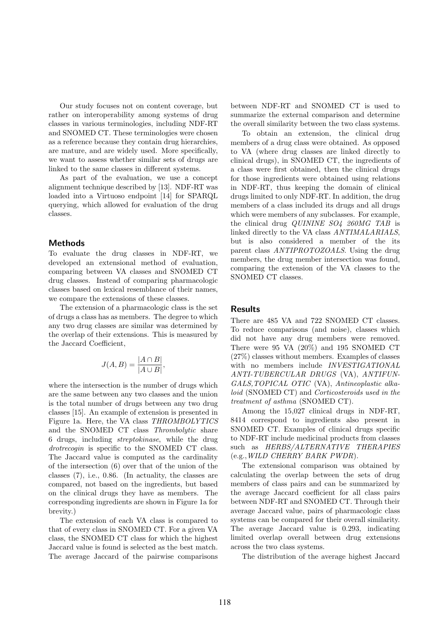Our study focuses not on content coverage, but rather on interoperability among systems of drug classes in various terminologies, including NDF-RT and SNOMED CT. These terminologies were chosen as a reference because they contain drug hierarchies, are mature, and are widely used. More specifically, we want to assess whether similar sets of drugs are linked to the same classes in different systems.

As part of the evaluation, we use a concept alignment technique described by [13]. NDF-RT was loaded into a Virtuoso endpoint [14] for SPARQL querying, which allowed for evaluation of the drug classes.

# Methods

To evaluate the drug classes in NDF-RT, we developed an extensional method of evaluation, comparing between VA classes and SNOMED CT drug classes. Instead of comparing pharmacologic classes based on lexical resemblance of their names, we compare the extensions of these classes.

The extension of a pharmacologic class is the set of drugs a class has as members. The degree to which any two drug classes are similar was determined by the overlap of their extensions. This is measured by the Jaccard Coefficient,

$$
J(A, B) = \frac{|A \cap B|}{|A \cup B|},
$$

where the intersection is the number of drugs which are the same between any two classes and the union is the total number of drugs between any two drug classes [15]. An example of extension is presented in Figure 1a. Here, the VA class THROMBOLYTICS and the SNOMED CT class Thrombolytic share 6 drugs, including streptokinase, while the drug drotrecogin is specific to the SNOMED CT class. The Jaccard value is computed as the cardinality of the intersection (6) over that of the union of the classes (7), i.e., 0.86. (In actuality, the classes are compared, not based on the ingredients, but based on the clinical drugs they have as members. The corresponding ingredients are shown in Figure 1a for brevity.)

The extension of each VA class is compared to that of every class in SNOMED CT. For a given VA class, the SNOMED CT class for which the highest Jaccard value is found is selected as the best match. The average Jaccard of the pairwise comparisons between NDF-RT and SNOMED CT is used to summarize the external comparison and determine the overall similarity between the two class systems.

To obtain an extension, the clinical drug members of a drug class were obtained. As opposed to VA (where drug classes are linked directly to clinical drugs), in SNOMED CT, the ingredients of a class were first obtained, then the clinical drugs for those ingredients were obtained using relations in NDF-RT, thus keeping the domain of clinical drugs limited to only NDF-RT. In addition, the drug members of a class included its drugs and all drugs which were members of any subclasses. For example, the clinical drug QUININE SO4 260MG TAB is linked directly to the VA class ANTIMALARIALS, but is also considered a member of the its parent class ANTIPROTOZOALS. Using the drug members, the drug member intersection was found, comparing the extension of the VA classes to the SNOMED CT classes.

# Results

There are 485 VA and 722 SNOMED CT classes. To reduce comparisons (and noise), classes which did not have any drug members were removed. There were 95 VA (20%) and 195 SNOMED CT (27%) classes without members. Examples of classes with no members include INVESTIGATIONAL ANTI-TUBERCULAR DRUGS (VA), ANTIFUN-GALS,TOPICAL OTIC (VA), Antineoplastic alkaloid (SNOMED CT) and Corticosteroids used in the treatment of asthma (SNOMED CT).

Among the 15,027 clinical drugs in NDF-RT, 8414 correspond to ingredients also present in SNOMED CT. Examples of clinical drugs specific to NDF-RT include medicinal products from classes such as HERBS/ALTERNATIVE THERAPIES (e.g.,WILD CHERRY BARK PWDR).

The extensional comparison was obtained by calculating the overlap between the sets of drug members of class pairs and can be summarized by the average Jaccard coefficient for all class pairs between NDF-RT and SNOMED CT. Through their average Jaccard value, pairs of pharmacologic class systems can be compared for their overall similarity. The average Jaccard value is 0.293, indicating limited overlap overall between drug extensions across the two class systems.

The distribution of the average highest Jaccard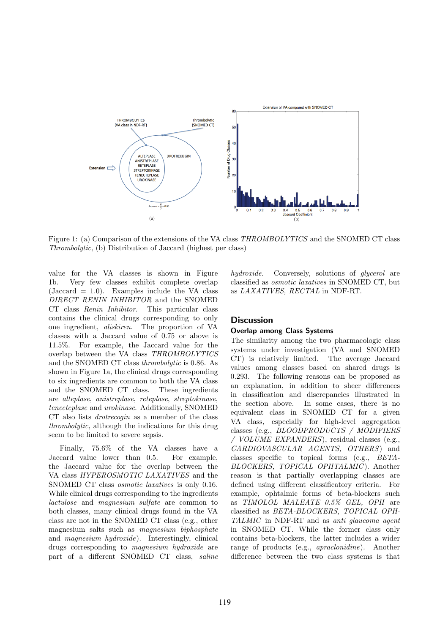

Figure 1: (a) Comparison of the extensions of the VA class THROMBOLYTICS and the SNOMED CT class Thrombolytic, (b) Distribution of Jaccard (highest per class)

value for the VA classes is shown in Figure 1b. Very few classes exhibit complete overlap  $(Jaccard = 1.0)$ . Examples include the VA class DIRECT RENIN INHIBITOR and the SNOMED CT class Renin Inhibitor. This particular class contains the clinical drugs corresponding to only one ingredient, aliskiren. The proportion of VA classes with a Jaccard value of 0.75 or above is 11.5%. For example, the Jaccard value for the overlap between the VA class THROMBOLYTICS and the SNOMED CT class thrombolytic is 0.86. As shown in Figure 1a, the clinical drugs corresponding to six ingredients are common to both the VA class and the SNOMED CT class. These ingredients are alteplase, anistreplase, reteplase, streptokinase, tenecteplase and urokinase. Additionally, SNOMED CT also lists drotrecogin as a member of the class thrombolytic, although the indications for this drug seem to be limited to severe sepsis.

Finally, 75.6% of the VA classes have a Jaccard value lower than 0.5. For example, the Jaccard value for the overlap between the VA class HYPEROSMOTIC LAXATIVES and the SNOMED CT class osmotic laxatives is only 0.16. While clinical drugs corresponding to the ingredients lactulose and magnesium sulfate are common to both classes, many clinical drugs found in the VA class are not in the SNOMED CT class (e.g., other magnesium salts such as magnesium biphosphate and magnesium hydroxide). Interestingly, clinical drugs corresponding to magnesium hydroxide are part of a different SNOMED CT class, saline

hydroxide. Conversely, solutions of glycerol are classified as osmotic laxatives in SNOMED CT, but as LAXATIVES, RECTAL in NDF-RT.

# **Discussion**

# Overlap among Class Systems

The similarity among the two pharmacologic class systems under investigation (VA and SNOMED CT) is relatively limited. The average Jaccard values among classes based on shared drugs is 0.293. The following reasons can be proposed as an explanation, in addition to sheer differences in classification and discrepancies illustrated in the section above. In some cases, there is no equivalent class in SNOMED CT for a given VA class, especially for high-level aggregation classes (e.g., BLOODPRODUCTS / MODIFIERS / VOLUME EXPANDERS), residual classes (e.g., CARDIOVASCULAR AGENTS, OTHERS) and classes specific to topical forms (e.g., BETA-BLOCKERS, TOPICAL OPHTALMIC). Another reason is that partially overlapping classes are defined using different classificatory criteria. For example, ophtalmic forms of beta-blockers such as TIMOLOL MALEATE 0.5% GEL, OPH are classified as BETA-BLOCKERS, TOPICAL OPH-TALMIC in NDF-RT and as anti glaucoma agent in SNOMED CT. While the former class only contains beta-blockers, the latter includes a wider range of products (e.g., apraclonidine). Another difference between the two class systems is that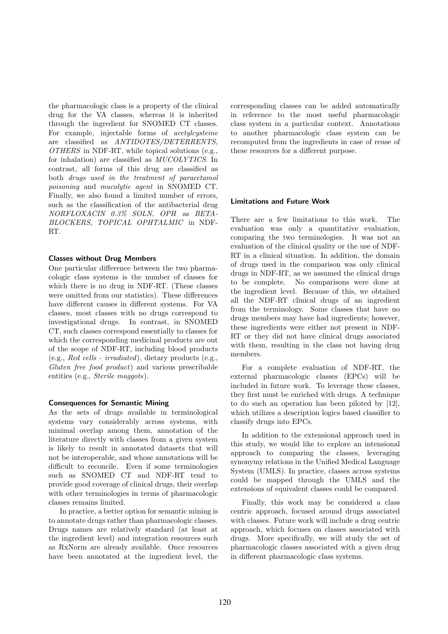the pharmacologic class is a property of the clinical drug for the VA classes, whereas it is inherited through the ingredient for SNOMED CT classes. For example, injectable forms of acetylcysteine are classified as ANTIDOTES/DETERRENTS,  $OTHERS$  in NDF-RT, while topical solutions (e.g., for inhalation) are classified as MUCOLYTICS. In contrast, all forms of this drug are classified as both drugs used in the treatment of paracetamol poisoning and mucolytic agent in SNOMED CT. Finally, we also found a limited number of errors, such as the classification of the antibacterial drug NORFLOXACIN 0.3% SOLN, OPH as BETA-BLOCKERS, TOPICAL OPHTALMIC in NDF-RT.

#### Classes without Drug Members

One particular difference between the two pharmacologic class systems is the number of classes for which there is no drug in NDF-RT. (These classes were omitted from our statistics). These differences have different causes in different systems. For VA classes, most classes with no drugs correspond to investigational drugs. In contrast, in SNOMED CT, such classes correspond essentially to classes for which the corresponding medicinal products are out of the scope of NDF-RT, including blood products (e.g., Red cells - irradiated), dietary products (e.g., Gluten free food product) and various prescribable entities (e.g., *Sterile maggots*).

#### Consequences for Semantic Mining

As the sets of drugs available in terminological systems vary considerably across systems, with minimal overlap among them, annotation of the literature directly with classes from a given system is likely to result in annotated datasets that will not be interoperable, and whose annotations will be difficult to reconcile. Even if some terminologies such as SNOMED CT and NDF-RT tend to provide good coverage of clinical drugs, their overlap with other terminologies in terms of pharmacologic classes remains limited.

In practice, a better option for semantic mining is to annotate drugs rather than pharmacologic classes. Drugs names are relatively standard (at least at the ingredient level) and integration resources such as RxNorm are already available. Once resources have been annotated at the ingredient level, the corresponding classes can be added automatically in reference to the most useful pharmacologic class system in a particular context. Annotations to another pharmacologic class system can be recomputed from the ingredients in case of reuse of these resources for a different purpose.

#### Limitations and Future Work

There are a few limitations to this work. The evaluation was only a quantitative evaluation, comparing the two terminologies. It was not an evaluation of the clinical quality or the use of NDF-RT in a clinical situation. In addition, the domain of drugs used in the comparison was only clinical drugs in NDF-RT, as we assumed the clinical drugs to be complete. No comparisons were done at the ingredient level. Because of this, we obtained all the NDF-RT clinical drugs of an ingredient from the terminology. Some classes that have no drugs members may have had ingredients; however, these ingredients were either not present in NDF-RT or they did not have clinical drugs associated with them, resulting in the class not having drug members.

For a complete evaluation of NDF-RT, the external pharmacologic classes (EPCs) will be included in future work. To leverage these classes, they first must be enriched with drugs. A technique to do such an operation has been piloted by [12], which utilizes a description logics based classifier to classify drugs into EPCs.

In addition to the extensional approach used in this study, we would like to explore an intensional approach to comparing the classes, leveraging synonymy relations in the Unified Medical Language System (UMLS). In practice, classes across systems could be mapped through the UMLS and the extensions of equivalent classes could be compared.

Finally, this work may be considered a class centric approach, focused around drugs associated with classes. Future work will include a drug centric approach, which focuses on classes associated with drugs. More specifically, we will study the set of pharmacologic classes associated with a given drug in different pharmacologic class systems.